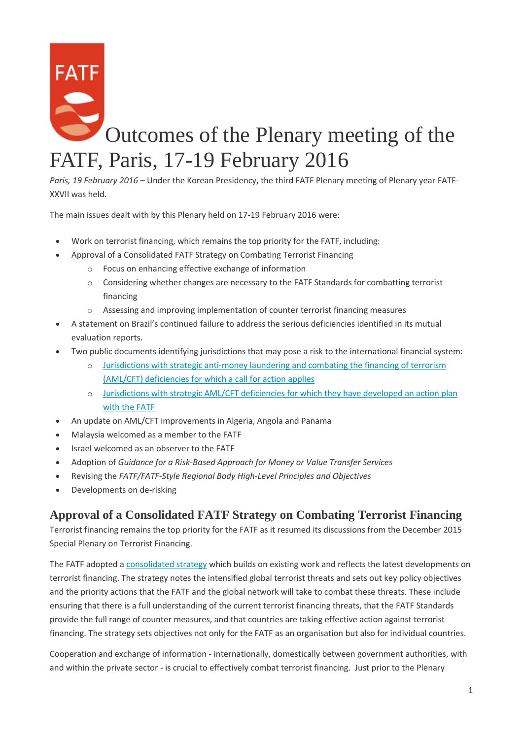

*Paris, 19 February 2016 –* Under the Korean Presidency, the third FATF Plenary meeting of Plenary year FATF-XXVII was held.

The main issues dealt with by this Plenary held on 17-19 February 2016 were:

- Work on terrorist financing, which remains the top priority for the FATF, including:
- Approval of a Consolidated FATF Strategy on Combating Terrorist Financing
	- o Focus on enhancing effective exchange of information
	- o Considering whether changes are necessary to the FATF Standards for combatting terrorist financing
	- o Assessing and improving implementation of counter terrorist financing measures
- A statement on Brazil's continued failure to address the serious deficiencies identified in its mutual evaluation reports.
- Two public documents identifying jurisdictions that may pose a risk to the international financial system:
	- o [Jurisdictions with strategic anti-money laundering and combating the financing of terrorism](http://www.fatf-gafi.org/publications/high-riskandnon-cooperativejurisdictions/documents/public-statement-february-2016.html)  [\(AML/CFT\) deficiencies for which a call for action applies](http://www.fatf-gafi.org/publications/high-riskandnon-cooperativejurisdictions/documents/public-statement-february-2016.html)
	- o [Jurisdictions with strategic AML/CFT deficiencies for which they have developed an action plan](http://www.fatf-gafi.org/publications/high-riskandnon-cooperativejurisdictions/documents/fatf-compliance-february-2016.html)  [with the FATF](http://www.fatf-gafi.org/publications/high-riskandnon-cooperativejurisdictions/documents/fatf-compliance-february-2016.html)
- An update on AML/CFT improvements in Algeria, Angola and Panama
- Malaysia welcomed as a member to the FATF
- Israel welcomed as an observer to the FATF
- Adoption of *Guidance for a Risk-Based Approach for Money or Value Transfer Services*
- Revising the *FATF/FATF-Style Regional Body High-Level Principles and Objectives*
- Developments on de-risking

#### **Approval of a Consolidated FATF Strategy on Combating Terrorist Financing**

Terrorist financing remains the top priority for the FATF as it resumed its discussions from the December 2015 Special Plenary on Terrorist Financing.

The FATF adopted a [consolidated strategy](http://www.fatf-gafi.org/media/fatf/documents/reports/FATF-Terrorist-Financing-Strategy.pdf) which builds on existing work and reflects the latest developments on terrorist financing. The strategy notes the intensified global terrorist threats and sets out key policy objectives and the priority actions that the FATF and the global network will take to combat these threats. These include ensuring that there is a full understanding of the current terrorist financing threats, that the FATF Standards provide the full range of counter measures, and that countries are taking effective action against terrorist financing. The strategy sets objectives not only for the FATF as an organisation but also for individual countries.

Cooperation and exchange of information - internationally, domestically between government authorities, with and within the private sector - is crucial to effectively combat terrorist financing. Just prior to the Plenary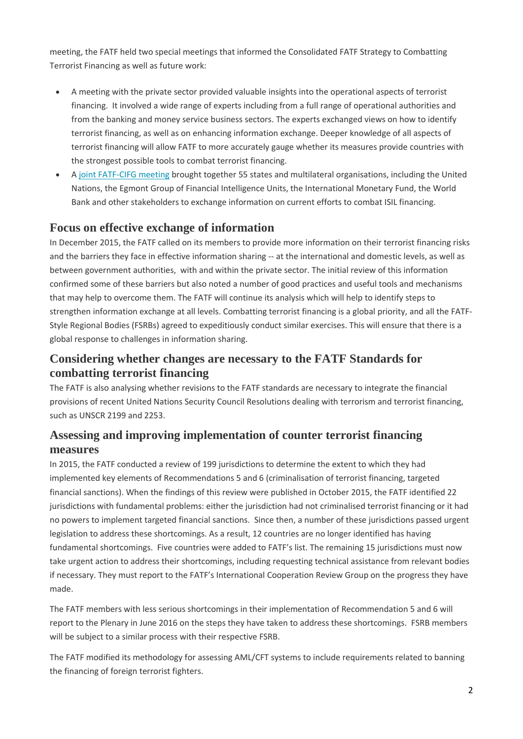meeting, the FATF held two special meetings that informed the Consolidated FATF Strategy to Combatting Terrorist Financing as well as future work:

- A meeting with the private sector provided valuable insights into the operational aspects of terrorist financing. It involved a wide range of experts including from a full range of operational authorities and from the banking and money service business sectors. The experts exchanged views on how to identify terrorist financing, as well as on enhancing information exchange. Deeper knowledge of all aspects of terrorist financing will allow FATF to more accurately gauge whether its measures provide countries with the strongest possible tools to combat terrorist financing.
- A [joint FATF-CIFG meeting](http://www.fatf-gafi.org/publications/fatfgeneral/documents/fatf-cifg-communique-feb-2016.html) brought together 55 states and multilateral organisations, including the United Nations, the Egmont Group of Financial Intelligence Units, the International Monetary Fund, the World Bank and other stakeholders to exchange information on current efforts to combat ISIL financing.

### **Focus on effective exchange of information**

In December 2015, the FATF called on its members to provide more information on their terrorist financing risks and the barriers they face in effective information sharing -- at the international and domestic levels, as well as between government authorities, with and within the private sector. The initial review of this information confirmed some of these barriers but also noted a number of good practices and useful tools and mechanisms that may help to overcome them. The FATF will continue its analysis which will help to identify steps to strengthen information exchange at all levels. Combatting terrorist financing is a global priority, and all the FATF-Style Regional Bodies (FSRBs) agreed to expeditiously conduct similar exercises. This will ensure that there is a global response to challenges in information sharing.

### **Considering whether changes are necessary to the FATF Standards for combatting terrorist financing**

The FATF is also analysing whether revisions to the FATF standards are necessary to integrate the financial provisions of recent United Nations Security Council Resolutions dealing with terrorism and terrorist financing, such as UNSCR 2199 and 2253.

### **Assessing and improving implementation of counter terrorist financing measures**

In 2015, the FATF conducted a review of 199 jurisdictions to determine the extent to which they had implemented key elements of Recommendations 5 and 6 (criminalisation of terrorist financing, targeted financial sanctions). When the findings of this review were published in October 2015, the FATF identified 22 jurisdictions with fundamental problems: either the jurisdiction had not criminalised terrorist financing or it had no powers to implement targeted financial sanctions. Since then, a number of these jurisdictions passed urgent legislation to address these shortcomings. As a result, 12 countries are no longer identified has having fundamental shortcomings. Five countries were added to FATF's list. The remaining 15 jurisdictions must now take urgent action to address their shortcomings, including requesting technical assistance from relevant bodies if necessary. They must report to the FATF's International Cooperation Review Group on the progress they have made.

The FATF members with less serious shortcomings in their implementation of Recommendation 5 and 6 will report to the Plenary in June 2016 on the steps they have taken to address these shortcomings. FSRB members will be subject to a similar process with their respective FSRB.

The FATF modified its methodology for assessing AML/CFT systems to include requirements related to banning the financing of foreign terrorist fighters.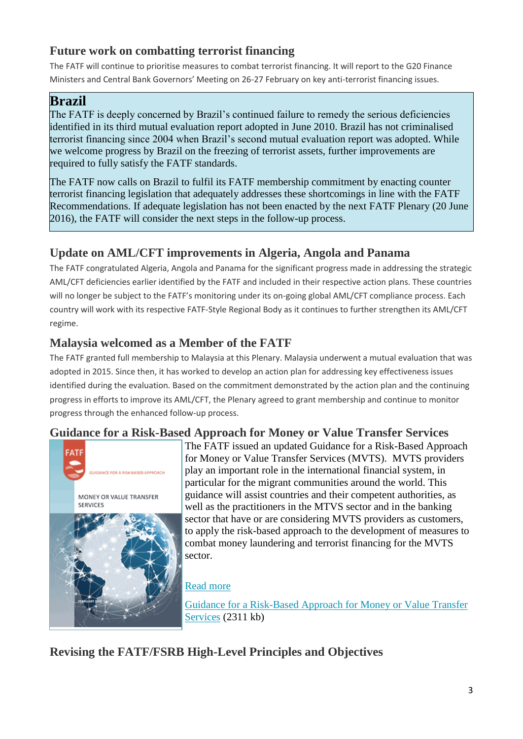### **Future work on combatting terrorist financing**

The FATF will continue to prioritise measures to combat terrorist financing. It will report to the G20 Finance Ministers and Central Bank Governors' Meeting on 26-27 February on key anti-terrorist financing issues.

# **Brazil**

The FATF is deeply concerned by Brazil's continued failure to remedy the serious deficiencies identified in its third mutual evaluation report adopted in June 2010. Brazil has not criminalised terrorist financing since 2004 when Brazil's second mutual evaluation report was adopted. While we welcome progress by Brazil on the freezing of terrorist assets, further improvements are required to fully satisfy the FATF standards.

The FATF now calls on Brazil to fulfil its FATF membership commitment by enacting counter terrorist financing legislation that adequately addresses these shortcomings in line with the FATF Recommendations. If adequate legislation has not been enacted by the next FATF Plenary (20 June 2016), the FATF will consider the next steps in the follow-up process.

## **Update on AML/CFT improvements in Algeria, Angola and Panama**

The FATF congratulated Algeria, Angola and Panama for the significant progress made in addressing the strategic AML/CFT deficiencies earlier identified by the FATF and included in their respective action plans. These countries will no longer be subject to the FATF's monitoring under its on-going global AML/CFT compliance process. Each country will work with its respective FATF-Style Regional Body as it continues to further strengthen its AML/CFT regime.

## **Malaysia welcomed as a Member of the FATF**

The FATF granted full membership to Malaysia at this Plenary. Malaysia underwent a mutual evaluation that was adopted in 2015. Since then, it has worked to develop an action plan for addressing key effectiveness issues identified during the evaluation. Based on the commitment demonstrated by the action plan and the continuing progress in efforts to improve its AML/CFT, the Plenary agreed to grant membership and continue to monitor progress through the enhanced follow-up process.

## **Guidance for a Risk-Based Approach for Money or Value Transfer Services**



The FATF issued an updated Guidance for a Risk-Based Approach for Money or Value Transfer Services (MVTS). MVTS providers play an important role in the international financial system, in particular for the migrant communities around the world. This guidance will assist countries and their competent authorities, as well as the practitioners in the MTVS sector and in the banking sector that have or are considering MVTS providers as customers, to apply the risk-based approach to the development of measures to combat money laundering and terrorist financing for the MVTS sector.

### [Read more](http://www.fatf-gafi.org/publications/fatfrecommendations/documents/rba-money-or-value-transfer.html)

[Guidance for a Risk-Based Approach for Money or Value Transfer](http://www.fatf-gafi.org/media/fatf/documents/reports/Guidance-RBA-money-value-transfer-services.pdf)  [Services](http://www.fatf-gafi.org/media/fatf/documents/reports/Guidance-RBA-money-value-transfer-services.pdf) (2311 kb)

**Revising the FATF/FSRB High-Level Principles and Objectives**